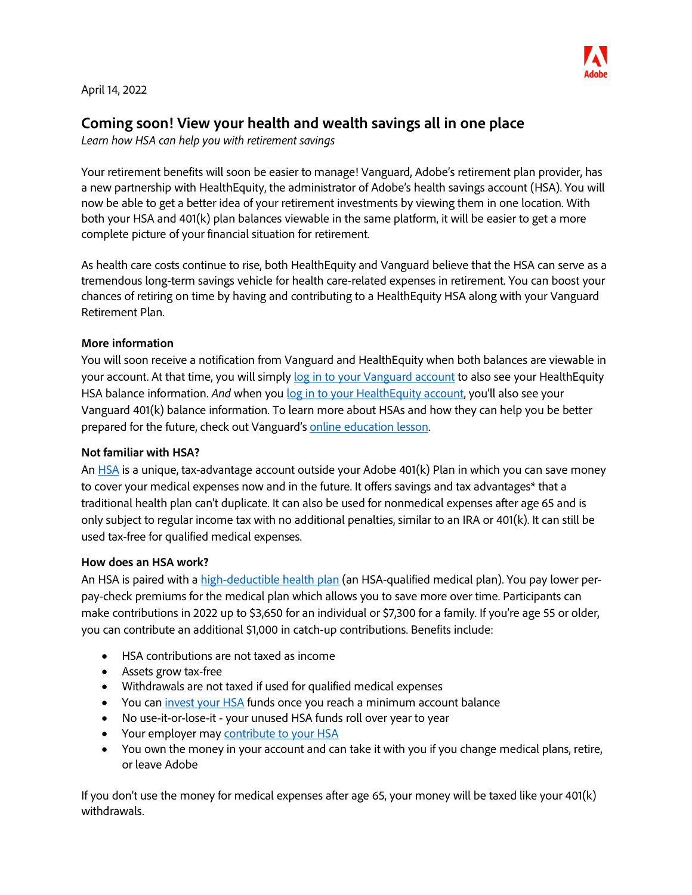

April 14, 2022

# **Coming soon! View your health and wealth savings all in one place**

*Learn how HSA can help you with retirement savings*

Your retirement benefits will soon be easier to manage! Vanguard, Adobe's retirement plan provider, has a new partnership with HealthEquity, the administrator of Adobe's health savings account (HSA). You will now be able to get a better idea of your retirement investments by viewing them in one location. With both your HSA and 401(k) plan balances viewable in the same platform, it will be easier to get a more complete picture of your financial situation for retirement.

As health care costs continue to rise, both HealthEquity and Vanguard believe that the HSA can serve as a tremendous long-term savings vehicle for health care-related expenses in retirement. You can boost your chances of retiring on time by having and contributing to a HealthEquity HSA along with your Vanguard Retirement Plan.

#### **More information**

You will soon receive a notification from Vanguard and HealthEquity when both balances are viewable in your account. At that time, you will simply [log in to your Vanguard account](https://www.vanguard.com/retirementplans) to also see your HealthEquity HSA balance information. And when you [log in to your HealthEquity](https://learn.healthequity.com/adobe/hsa/) account, you'll also see your Vanguard 401(k) balance information. To learn more about HSAs and how they can help you be better prepared for the future, check out Vanguard's [online education lesson.](https://retirementplans.vanguard.com/VGApp/pe/edu/catalog/how-can-a-health-savings-account-help-me/1)

#### **Not familiar with HSA?**

An [HSA](https://benefits.adobe.com/us/health-and-wellbeing/health-savings-account-hsa) is a unique, tax-advantage account outside your Adobe 401(k) Plan in which you can save money to cover your medical expenses now and in the future. It offers savings and tax advantages\* that a traditional health plan can't duplicate. It can also be used for nonmedical expenses after age 65 and is only subject to regular income tax with no additional penalties, similar to an IRA or 401(k). It can still be used tax-free for qualified medical expenses.

#### **How does an HSA work?**

An HSA is paired with a [high-deductible health plan](https://www.healthcare.gov/glossary/high-deductible-health-plan/) (an HSA-qualified medical plan). You pay lower perpay-check premiums for the medical plan which allows you to save more over time. Participants can make contributions in 2022 up to \$3,650 for an individual or \$7,300 for a family. If you're age 55 or older, you can contribute an additional \$1,000 in catch-up contributions. Benefits include:

- HSA contributions are not taxed as income
- Assets grow tax-free
- Withdrawals are not taxed if used for qualified medical expenses
- You can [invest your HSA](https://benefits.adobe.com/us/health-and-wellbeing/health-savings-account-hsa#Save) funds once you reach a minimum account balance
- No use-it-or-lose-it your unused HSA funds roll over year to year
- Your employer may [contribute to your HSA](https://benefits.adobe.com/us/health-and-wellbeing/health-savings-account-hsa#Contributions)
- You own the money in your account and can take it with you if you change medical plans, retire, or leave Adobe

If you don't use the money for medical expenses after age 65, your money will be taxed like your 401(k) withdrawals.